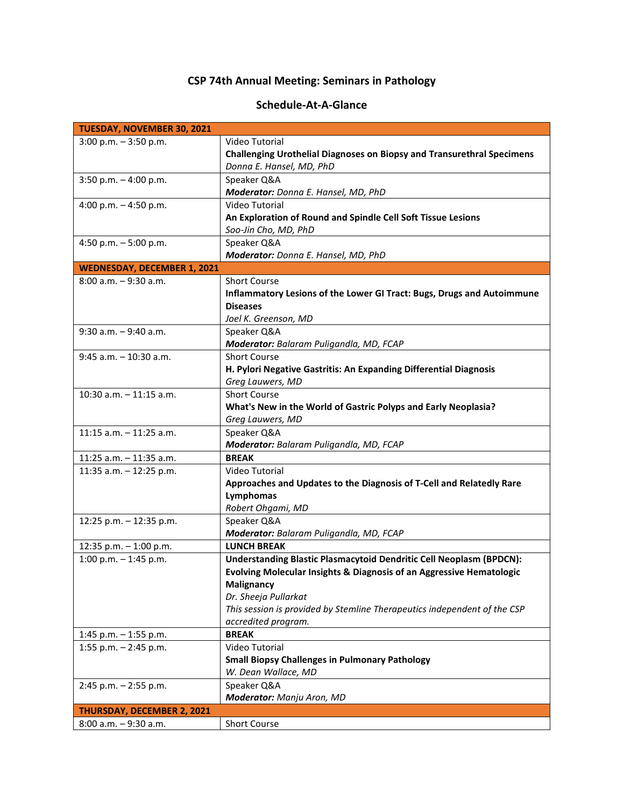## **CSP 74th Annual Meeting: Seminars in Pathology**

## **Schedule-At-A-Glance**

| TUESDAY, NOVEMBER 30, 2021         |                                                                            |
|------------------------------------|----------------------------------------------------------------------------|
| $3:00$ p.m. $-3:50$ p.m.           | Video Tutorial                                                             |
|                                    | Challenging Urothelial Diagnoses on Biopsy and Transurethral Specimens     |
|                                    | Donna E. Hansel, MD, PhD                                                   |
| $3:50$ p.m. $-4:00$ p.m.           | Speaker Q&A                                                                |
|                                    | Moderator: Donna E. Hansel, MD, PhD                                        |
| 4:00 p.m. $-$ 4:50 p.m.            | Video Tutorial                                                             |
|                                    | An Exploration of Round and Spindle Cell Soft Tissue Lesions               |
|                                    | Soo-Jin Cho, MD, PhD                                                       |
| 4:50 p.m. $-5:00$ p.m.             | Speaker Q&A                                                                |
|                                    | Moderator: Donna E. Hansel, MD, PhD                                        |
|                                    |                                                                            |
| <b>WEDNESDAY, DECEMBER 1, 2021</b> |                                                                            |
| 8:00 a.m. - 9:30 a.m.              | Short Course                                                               |
|                                    | Inflammatory Lesions of the Lower GI Tract: Bugs, Drugs and Autoimmune     |
|                                    | <b>Diseases</b>                                                            |
|                                    | Joel K. Greenson, MD                                                       |
| $9:30$ a.m. $-9:40$ a.m.           | Speaker Q&A                                                                |
|                                    | Moderator: Balaram Puligandla, MD, FCAP                                    |
| $9:45$ a.m. $-10:30$ a.m.          | <b>Short Course</b>                                                        |
|                                    | H. Pylori Negative Gastritis: An Expanding Differential Diagnosis          |
|                                    | Greg Lauwers, MD                                                           |
| 10:30 a.m. - 11:15 a.m.            | <b>Short Course</b>                                                        |
|                                    | What's New in the World of Gastric Polyps and Early Neoplasia?             |
|                                    | Greg Lauwers, MD                                                           |
| 11:15 $a.m. - 11:25 a.m.$          | Speaker Q&A                                                                |
|                                    | Moderator: Balaram Puligandla, MD, FCAP                                    |
| 11:25 a.m. - 11:35 a.m.            | <b>BREAK</b>                                                               |
| 11:35 a.m. - 12:25 p.m.            | Video Tutorial                                                             |
|                                    | Approaches and Updates to the Diagnosis of T-Cell and Relatedly Rare       |
|                                    | Lymphomas                                                                  |
|                                    | Robert Ohgami, MD                                                          |
| 12:25 p.m. - 12:35 p.m.            | Speaker Q&A                                                                |
|                                    |                                                                            |
|                                    | Moderator: Balaram Puligandla, MD, FCAP                                    |
| 12:35 p.m. - 1:00 p.m.             | <b>LUNCH BREAK</b>                                                         |
| 1:00 p.m. $-$ 1:45 p.m.            | <b>Understanding Blastic Plasmacytoid Dendritic Cell Neoplasm (BPDCN):</b> |
|                                    | Evolving Molecular Insights & Diagnosis of an Aggressive Hematologic       |
|                                    | Malignancy                                                                 |
|                                    | Dr. Sheeja Pullarkat                                                       |
|                                    | This session is provided by Stemline Therapeutics independent of the CSP   |
|                                    | accredited program.                                                        |
| 1:45 p.m. $-$ 1:55 p.m.            | <b>BREAK</b>                                                               |
| 1:55 p.m. $-$ 2:45 p.m.            | Video Tutorial                                                             |
|                                    | <b>Small Biopsy Challenges in Pulmonary Pathology</b>                      |
|                                    | W. Dean Wallace, MD                                                        |
| $2:45$ p.m. $-2:55$ p.m.           | Speaker Q&A                                                                |
|                                    | Moderator: Manju Aron, MD                                                  |
| <b>THURSDAY, DECEMBER 2, 2021</b>  |                                                                            |
| 8:00 a.m. - 9:30 a.m.              | Short Course                                                               |
|                                    |                                                                            |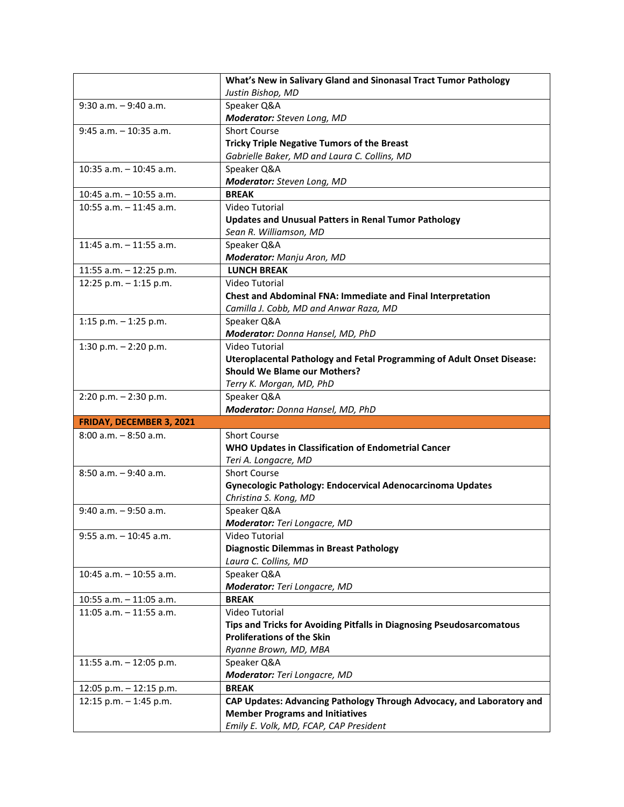|                            | What's New in Salivary Gland and Sinonasal Tract Tumor Pathology                 |
|----------------------------|----------------------------------------------------------------------------------|
|                            | Justin Bishop, MD                                                                |
| $9:30$ a.m. $-9:40$ a.m.   | Speaker Q&A                                                                      |
|                            | Moderator: Steven Long, MD                                                       |
| $9:45$ a.m. $-10:35$ a.m.  | <b>Short Course</b>                                                              |
|                            | <b>Tricky Triple Negative Tumors of the Breast</b>                               |
|                            | Gabrielle Baker, MD and Laura C. Collins, MD                                     |
| $10:35$ a.m. $-10:45$ a.m. | Speaker Q&A                                                                      |
|                            | Moderator: Steven Long, MD                                                       |
| 10:45 a.m. - 10:55 a.m.    | <b>BREAK</b>                                                                     |
| $10:55$ a.m. $-11:45$ a.m. | Video Tutorial                                                                   |
|                            | <b>Updates and Unusual Patters in Renal Tumor Pathology</b>                      |
|                            | Sean R. Williamson, MD                                                           |
| 11:45 a.m. $-$ 11:55 a.m.  | Speaker Q&A                                                                      |
|                            | Moderator: Manju Aron, MD                                                        |
| 11:55 a.m. - 12:25 p.m.    | <b>LUNCH BREAK</b>                                                               |
| 12:25 p.m. $-$ 1:15 p.m.   | Video Tutorial                                                                   |
|                            | Chest and Abdominal FNA: Immediate and Final Interpretation                      |
|                            | Camilla J. Cobb, MD and Anwar Raza, MD                                           |
| 1:15 p.m. $-$ 1:25 p.m.    | Speaker Q&A                                                                      |
|                            | Moderator: Donna Hansel, MD, PhD                                                 |
| 1:30 p.m. $- 2:20$ p.m.    | Video Tutorial                                                                   |
|                            | <b>Uteroplacental Pathology and Fetal Programming of Adult Onset Disease:</b>    |
|                            | <b>Should We Blame our Mothers?</b>                                              |
|                            | Terry K. Morgan, MD, PhD                                                         |
| 2:20 p.m. - 2:30 p.m.      | Speaker Q&A                                                                      |
|                            |                                                                                  |
|                            | Moderator: Donna Hansel, MD, PhD                                                 |
| FRIDAY, DECEMBER 3, 2021   |                                                                                  |
| $8:00$ a.m. $-8:50$ a.m.   | <b>Short Course</b>                                                              |
|                            | WHO Updates in Classification of Endometrial Cancer                              |
|                            | Teri A. Longacre, MD                                                             |
| $8:50$ a.m. $-9:40$ a.m.   | <b>Short Course</b>                                                              |
|                            | Gynecologic Pathology: Endocervical Adenocarcinoma Updates                       |
|                            | Christina S. Kong, MD                                                            |
| $9:40$ a.m. $-9:50$ a.m.   | Speaker Q&A                                                                      |
|                            | Moderator: Teri Longacre, MD                                                     |
| $9:55$ a.m. $-10:45$ a.m.  | Video Tutorial                                                                   |
|                            | <b>Diagnostic Dilemmas in Breast Pathology</b>                                   |
|                            | Laura C. Collins, MD                                                             |
| $10:45$ a.m. $-10:55$ a.m. | Speaker Q&A                                                                      |
|                            | Moderator: Teri Longacre, MD                                                     |
| 10:55 a.m. - 11:05 a.m.    | <b>BREAK</b>                                                                     |
| $11:05$ a.m. $-11:55$ a.m. | Video Tutorial                                                                   |
|                            | Tips and Tricks for Avoiding Pitfalls in Diagnosing Pseudosarcomatous            |
|                            | <b>Proliferations of the Skin</b>                                                |
|                            | Ryanne Brown, MD, MBA                                                            |
| 11:55 a.m. $-$ 12:05 p.m.  | Speaker Q&A                                                                      |
|                            | Moderator: Teri Longacre, MD                                                     |
| 12:05 p.m. - 12:15 p.m.    | <b>BREAK</b>                                                                     |
| 12:15 p.m. - 1:45 p.m.     | CAP Updates: Advancing Pathology Through Advocacy, and Laboratory and            |
|                            | <b>Member Programs and Initiatives</b><br>Emily E. Volk, MD, FCAP, CAP President |